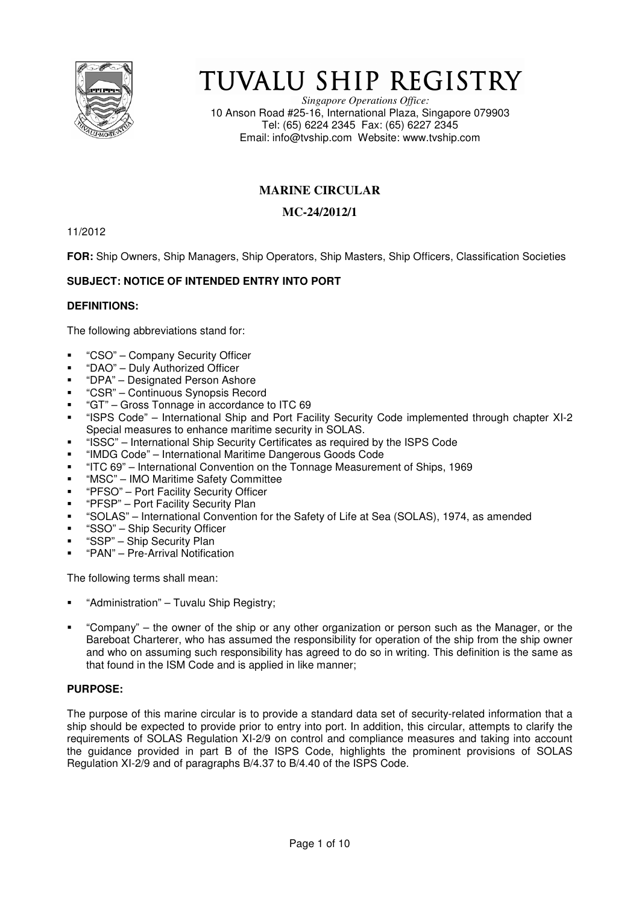

# TUVALU SHIP REGISTRY

*Singapore Operations Office:* 10 Anson Road #25-16, International Plaza, Singapore 079903 Tel: (65) 6224 2345 Fax: (65) 6227 2345 Email: info@tvship.com Website: www.tvship.com

# **MARINE CIRCULAR**

# **MC-24/2012/1**

11/2012

**FOR:** Ship Owners, Ship Managers, Ship Operators, Ship Masters, Ship Officers, Classification Societies

# **SUBJECT: NOTICE OF INTENDED ENTRY INTO PORT**

# **DEFINITIONS:**

The following abbreviations stand for:

- "CSO" Company Security Officer
- "DAO" Duly Authorized Officer
- "DPA" Designated Person Ashore
- "CSR" Continuous Synopsis Record
- "GT" Gross Tonnage in accordance to ITC 69
- "ISPS Code" International Ship and Port Facility Security Code implemented through chapter XI-2 Special measures to enhance maritime security in SOLAS.
- "ISSC" International Ship Security Certificates as required by the ISPS Code
- "IMDG Code" International Maritime Dangerous Goods Code
- "ITC 69" International Convention on the Tonnage Measurement of Ships, 1969
- "MSC" IMO Maritime Safety Committee
- "PFSO" Port Facility Security Officer
- "PFSP" Port Facility Security Plan
- "SOLAS" International Convention for the Safety of Life at Sea (SOLAS), 1974, as amended
- "SSO" Ship Security Officer
- "SSP" Ship Security Plan
- "PAN" Pre-Arrival Notification

The following terms shall mean:

- "Administration" Tuvalu Ship Registry;
- "Company" the owner of the ship or any other organization or person such as the Manager, or the Bareboat Charterer, who has assumed the responsibility for operation of the ship from the ship owner and who on assuming such responsibility has agreed to do so in writing. This definition is the same as that found in the ISM Code and is applied in like manner;

# **PURPOSE:**

The purpose of this marine circular is to provide a standard data set of security-related information that a ship should be expected to provide prior to entry into port. In addition, this circular, attempts to clarify the requirements of SOLAS Regulation XI-2/9 on control and compliance measures and taking into account the guidance provided in part B of the ISPS Code, highlights the prominent provisions of SOLAS Regulation XI-2/9 and of paragraphs B/4.37 to B/4.40 of the ISPS Code.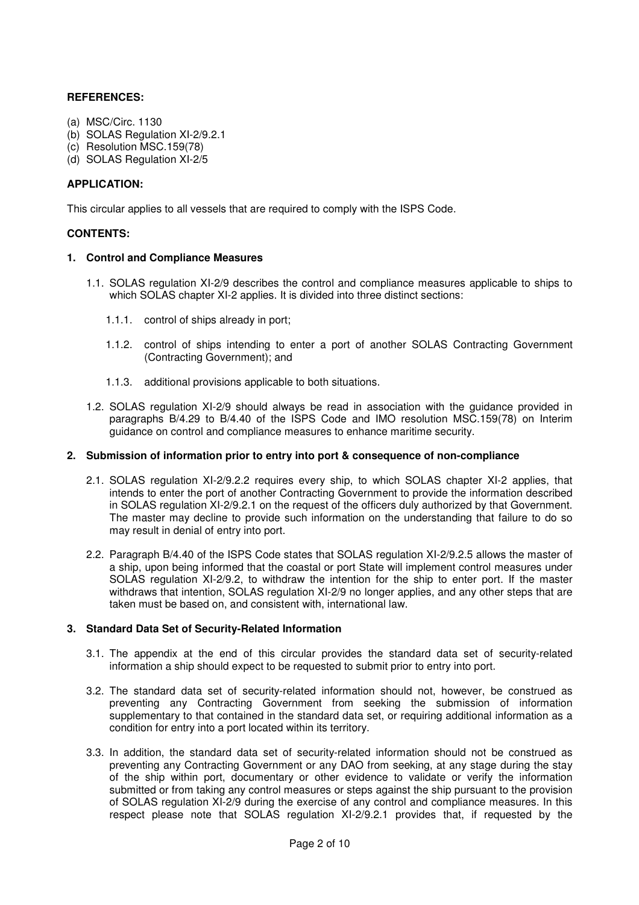## **REFERENCES:**

- (a) MSC/Circ. 1130
- (b) SOLAS Regulation XI-2/9.2.1
- (c) Resolution MSC.159(78)
- (d) SOLAS Regulation XI-2/5

#### **APPLICATION:**

This circular applies to all vessels that are required to comply with the ISPS Code.

#### **CONTENTS:**

#### **1. Control and Compliance Measures**

- 1.1. SOLAS regulation XI-2/9 describes the control and compliance measures applicable to ships to which SOLAS chapter XI-2 applies. It is divided into three distinct sections:
	- 1.1.1. control of ships already in port;
	- 1.1.2. control of ships intending to enter a port of another SOLAS Contracting Government (Contracting Government); and
	- 1.1.3. additional provisions applicable to both situations.
- 1.2. SOLAS regulation XI-2/9 should always be read in association with the guidance provided in paragraphs B/4.29 to B/4.40 of the ISPS Code and IMO resolution MSC.159(78) on Interim guidance on control and compliance measures to enhance maritime security.

#### **2. Submission of information prior to entry into port & consequence of non-compliance**

- 2.1. SOLAS regulation XI-2/9.2.2 requires every ship, to which SOLAS chapter XI-2 applies, that intends to enter the port of another Contracting Government to provide the information described in SOLAS regulation XI-2/9.2.1 on the request of the officers duly authorized by that Government. The master may decline to provide such information on the understanding that failure to do so may result in denial of entry into port.
- 2.2. Paragraph B/4.40 of the ISPS Code states that SOLAS regulation XI-2/9.2.5 allows the master of a ship, upon being informed that the coastal or port State will implement control measures under SOLAS regulation XI-2/9.2, to withdraw the intention for the ship to enter port. If the master withdraws that intention, SOLAS regulation XI-2/9 no longer applies, and any other steps that are taken must be based on, and consistent with, international law.

#### **3. Standard Data Set of Security-Related Information**

- 3.1. The appendix at the end of this circular provides the standard data set of security-related information a ship should expect to be requested to submit prior to entry into port.
- 3.2. The standard data set of security-related information should not, however, be construed as preventing any Contracting Government from seeking the submission of information supplementary to that contained in the standard data set, or requiring additional information as a condition for entry into a port located within its territory.
- 3.3. In addition, the standard data set of security-related information should not be construed as preventing any Contracting Government or any DAO from seeking, at any stage during the stay of the ship within port, documentary or other evidence to validate or verify the information submitted or from taking any control measures or steps against the ship pursuant to the provision of SOLAS regulation XI-2/9 during the exercise of any control and compliance measures. In this respect please note that SOLAS regulation XI-2/9.2.1 provides that, if requested by the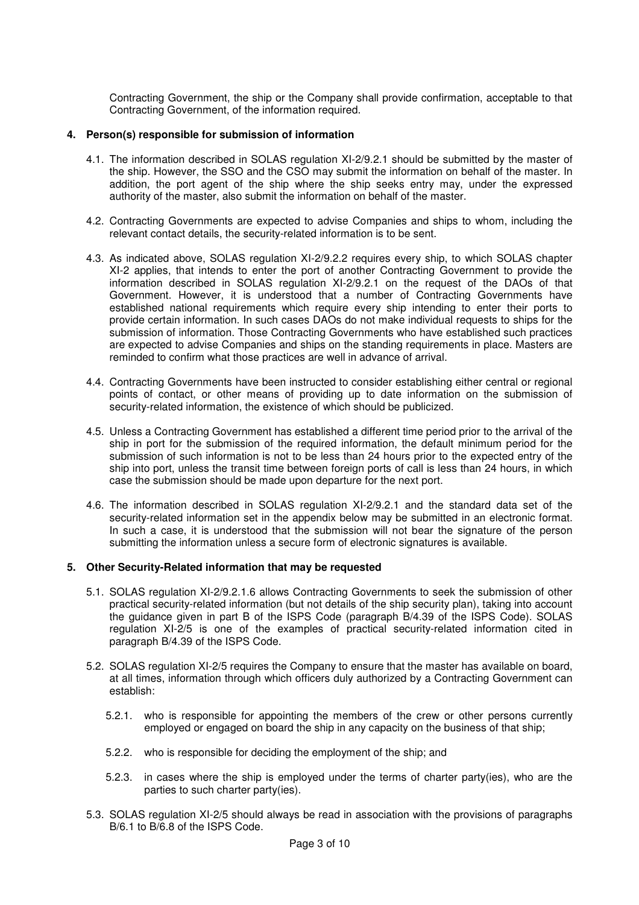Contracting Government, the ship or the Company shall provide confirmation, acceptable to that Contracting Government, of the information required.

### **4. Person(s) responsible for submission of information**

- 4.1. The information described in SOLAS regulation XI-2/9.2.1 should be submitted by the master of the ship. However, the SSO and the CSO may submit the information on behalf of the master. In addition, the port agent of the ship where the ship seeks entry may, under the expressed authority of the master, also submit the information on behalf of the master.
- 4.2. Contracting Governments are expected to advise Companies and ships to whom, including the relevant contact details, the security-related information is to be sent.
- 4.3. As indicated above, SOLAS regulation XI-2/9.2.2 requires every ship, to which SOLAS chapter XI-2 applies, that intends to enter the port of another Contracting Government to provide the information described in SOLAS regulation XI-2/9.2.1 on the request of the DAOs of that Government. However, it is understood that a number of Contracting Governments have established national requirements which require every ship intending to enter their ports to provide certain information. In such cases DAOs do not make individual requests to ships for the submission of information. Those Contracting Governments who have established such practices are expected to advise Companies and ships on the standing requirements in place. Masters are reminded to confirm what those practices are well in advance of arrival.
- 4.4. Contracting Governments have been instructed to consider establishing either central or regional points of contact, or other means of providing up to date information on the submission of security-related information, the existence of which should be publicized.
- 4.5. Unless a Contracting Government has established a different time period prior to the arrival of the ship in port for the submission of the required information, the default minimum period for the submission of such information is not to be less than 24 hours prior to the expected entry of the ship into port, unless the transit time between foreign ports of call is less than 24 hours, in which case the submission should be made upon departure for the next port.
- 4.6. The information described in SOLAS regulation XI-2/9.2.1 and the standard data set of the security-related information set in the appendix below may be submitted in an electronic format. In such a case, it is understood that the submission will not bear the signature of the person submitting the information unless a secure form of electronic signatures is available.

#### **5. Other Security-Related information that may be requested**

- 5.1. SOLAS regulation XI-2/9.2.1.6 allows Contracting Governments to seek the submission of other practical security-related information (but not details of the ship security plan), taking into account the guidance given in part B of the ISPS Code (paragraph B/4.39 of the ISPS Code). SOLAS regulation XI-2/5 is one of the examples of practical security-related information cited in paragraph B/4.39 of the ISPS Code.
- 5.2. SOLAS regulation XI-2/5 requires the Company to ensure that the master has available on board, at all times, information through which officers duly authorized by a Contracting Government can establish:
	- 5.2.1. who is responsible for appointing the members of the crew or other persons currently employed or engaged on board the ship in any capacity on the business of that ship;
	- 5.2.2. who is responsible for deciding the employment of the ship; and
	- 5.2.3. in cases where the ship is employed under the terms of charter party(ies), who are the parties to such charter party(ies).
- 5.3. SOLAS regulation XI-2/5 should always be read in association with the provisions of paragraphs B/6.1 to B/6.8 of the ISPS Code.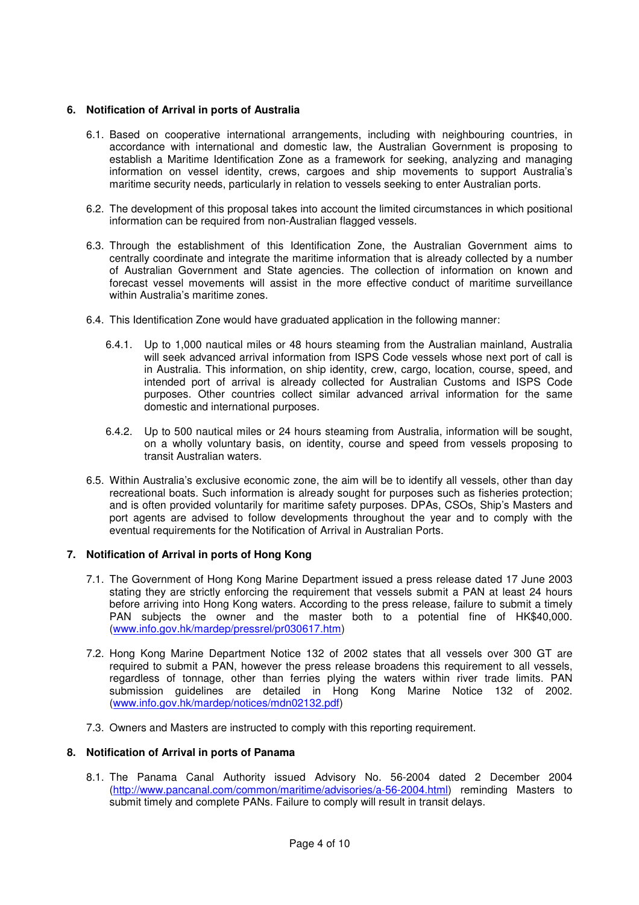# **6. Notification of Arrival in ports of Australia**

- 6.1. Based on cooperative international arrangements, including with neighbouring countries, in accordance with international and domestic law, the Australian Government is proposing to establish a Maritime Identification Zone as a framework for seeking, analyzing and managing information on vessel identity, crews, cargoes and ship movements to support Australia's maritime security needs, particularly in relation to vessels seeking to enter Australian ports.
- 6.2. The development of this proposal takes into account the limited circumstances in which positional information can be required from non-Australian flagged vessels.
- 6.3. Through the establishment of this Identification Zone, the Australian Government aims to centrally coordinate and integrate the maritime information that is already collected by a number of Australian Government and State agencies. The collection of information on known and forecast vessel movements will assist in the more effective conduct of maritime surveillance within Australia's maritime zones.
- 6.4. This Identification Zone would have graduated application in the following manner:
	- 6.4.1. Up to 1,000 nautical miles or 48 hours steaming from the Australian mainland, Australia will seek advanced arrival information from ISPS Code vessels whose next port of call is in Australia. This information, on ship identity, crew, cargo, location, course, speed, and intended port of arrival is already collected for Australian Customs and ISPS Code purposes. Other countries collect similar advanced arrival information for the same domestic and international purposes.
	- 6.4.2. Up to 500 nautical miles or 24 hours steaming from Australia, information will be sought, on a wholly voluntary basis, on identity, course and speed from vessels proposing to transit Australian waters.
- 6.5. Within Australia's exclusive economic zone, the aim will be to identify all vessels, other than day recreational boats. Such information is already sought for purposes such as fisheries protection; and is often provided voluntarily for maritime safety purposes. DPAs, CSOs, Ship's Masters and port agents are advised to follow developments throughout the year and to comply with the eventual requirements for the Notification of Arrival in Australian Ports.

#### **7. Notification of Arrival in ports of Hong Kong**

- 7.1. The Government of Hong Kong Marine Department issued a press release dated 17 June 2003 stating they are strictly enforcing the requirement that vessels submit a PAN at least 24 hours before arriving into Hong Kong waters. According to the press release, failure to submit a timely PAN subjects the owner and the master both to a potential fine of HK\$40,000. (www.info.gov.hk/mardep/pressrel/pr030617.htm)
- 7.2. Hong Kong Marine Department Notice 132 of 2002 states that all vessels over 300 GT are required to submit a PAN, however the press release broadens this requirement to all vessels, regardless of tonnage, other than ferries plying the waters within river trade limits. PAN submission guidelines are detailed in Hong Kong Marine Notice 132 of 2002. (www.info.gov.hk/mardep/notices/mdn02132.pdf)
- 7.3. Owners and Masters are instructed to comply with this reporting requirement.

#### **8. Notification of Arrival in ports of Panama**

8.1. The Panama Canal Authority issued Advisory No. 56-2004 dated 2 December 2004 (http://www.pancanal.com/common/maritime/advisories/a-56-2004.html) reminding Masters to submit timely and complete PANs. Failure to comply will result in transit delays.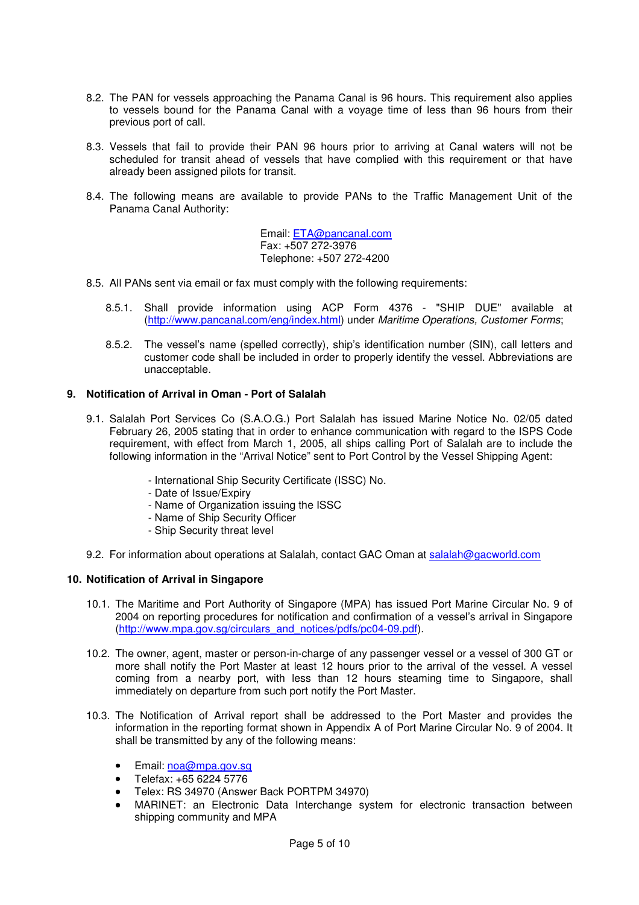- 8.2. The PAN for vessels approaching the Panama Canal is 96 hours. This requirement also applies to vessels bound for the Panama Canal with a voyage time of less than 96 hours from their previous port of call.
- 8.3. Vessels that fail to provide their PAN 96 hours prior to arriving at Canal waters will not be scheduled for transit ahead of vessels that have complied with this requirement or that have already been assigned pilots for transit.
- 8.4. The following means are available to provide PANs to the Traffic Management Unit of the Panama Canal Authority:

Email: ETA@pancanal.com Fax: +507 272-3976 Telephone: +507 272-4200

- 8.5. All PANs sent via email or fax must comply with the following requirements:
	- 8.5.1. Shall provide information using ACP Form 4376 "SHIP DUE" available at (http://www.pancanal.com/eng/index.html) under Maritime Operations, Customer Forms;
	- 8.5.2. The vessel's name (spelled correctly), ship's identification number (SIN), call letters and customer code shall be included in order to properly identify the vessel. Abbreviations are unacceptable.

## **9. Notification of Arrival in Oman - Port of Salalah**

- 9.1. Salalah Port Services Co (S.A.O.G.) Port Salalah has issued Marine Notice No. 02/05 dated February 26, 2005 stating that in order to enhance communication with regard to the ISPS Code requirement, with effect from March 1, 2005, all ships calling Port of Salalah are to include the following information in the "Arrival Notice" sent to Port Control by the Vessel Shipping Agent:
	- International Ship Security Certificate (ISSC) No.
	- Date of Issue/Expiry
	- Name of Organization issuing the ISSC
	- Name of Ship Security Officer
	- Ship Security threat level
- 9.2. For information about operations at Salalah, contact GAC Oman at salalah@gacworld.com

#### **10. Notification of Arrival in Singapore**

- 10.1. The Maritime and Port Authority of Singapore (MPA) has issued Port Marine Circular No. 9 of 2004 on reporting procedures for notification and confirmation of a vessel's arrival in Singapore (http://www.mpa.gov.sg/circulars\_and\_notices/pdfs/pc04-09.pdf).
- 10.2. The owner, agent, master or person-in-charge of any passenger vessel or a vessel of 300 GT or more shall notify the Port Master at least 12 hours prior to the arrival of the vessel. A vessel coming from a nearby port, with less than 12 hours steaming time to Singapore, shall immediately on departure from such port notify the Port Master.
- 10.3. The Notification of Arrival report shall be addressed to the Port Master and provides the information in the reporting format shown in Appendix A of Port Marine Circular No. 9 of 2004. It shall be transmitted by any of the following means:
	- Email: noa@mpa.gov.sq
	- Telefax: +65 6224 5776
	- Telex: RS 34970 (Answer Back PORTPM 34970)
	- MARINET: an Electronic Data Interchange system for electronic transaction between shipping community and MPA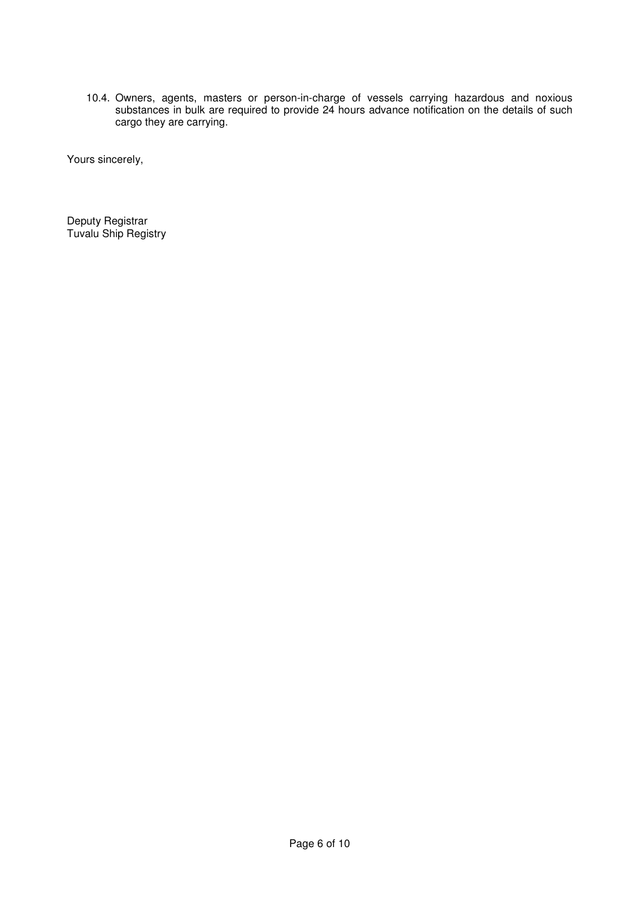10.4. Owners, agents, masters or person-in-charge of vessels carrying hazardous and noxious substances in bulk are required to provide 24 hours advance notification on the details of such cargo they are carrying.

Yours sincerely,

Deputy Registrar Tuvalu Ship Registry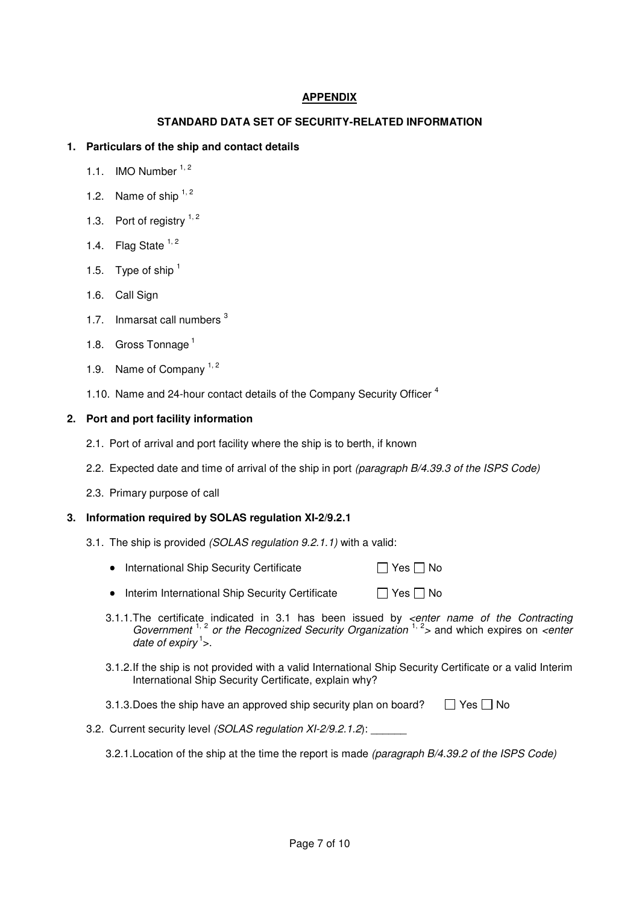# **APPENDIX**

# **STANDARD DATA SET OF SECURITY-RELATED INFORMATION**

## **1. Particulars of the ship and contact details**

- 1.1. IMO Number  $1, 2$
- 1.2. Name of ship  $1, 2$
- 1.3. Port of registry  $1, 2$
- 1.4. Flag State  $1, 2$
- 1.5. Type of ship  $<sup>1</sup>$ </sup>
- 1.6. Call Sign
- 1.7. Inmarsat call numbers <sup>3</sup>
- 1.8. Gross Tonnage<sup>1</sup>
- 1.9. Name of Company  $1, 2$
- 1.10. Name and 24-hour contact details of the Company Security Officer<sup>4</sup>

### **2. Port and port facility information**

- 2.1. Port of arrival and port facility where the ship is to berth, if known
- 2.2. Expected date and time of arrival of the ship in port (paragraph B/4.39.3 of the ISPS Code)
- 2.3. Primary purpose of call

#### **3. Information required by SOLAS regulation XI-2/9.2.1**

- 3.1. The ship is provided (SOLAS regulation 9.2.1.1) with a valid:
	- International Ship Security Certificate  $\Box$  Yes  $\Box$  No
	- Interim International Ship Security Certificate  $\Box$  Yes  $\Box$  No
	- 3.1.1. The certificate indicated in 3.1 has been issued by *<enter name of the Contracting* Government<sup>1, 2</sup> or the Recognized Security Organization<sup>1, 2</sup> and which expires on <enter date of expiry<sup>1</sup>>.
	- 3.1.2. If the ship is not provided with a valid International Ship Security Certificate or a valid Interim International Ship Security Certificate, explain why?
	- 3.1.3. Does the ship have an approved ship security plan on board?  $\Box$  Yes  $\Box$  No
- 3.2. Current security level (SOLAS regulation XI-2/9.2.1.2): \_\_\_\_\_\_
	- 3.2.1. Location of the ship at the time the report is made (paragraph B/4.39.2 of the ISPS Code)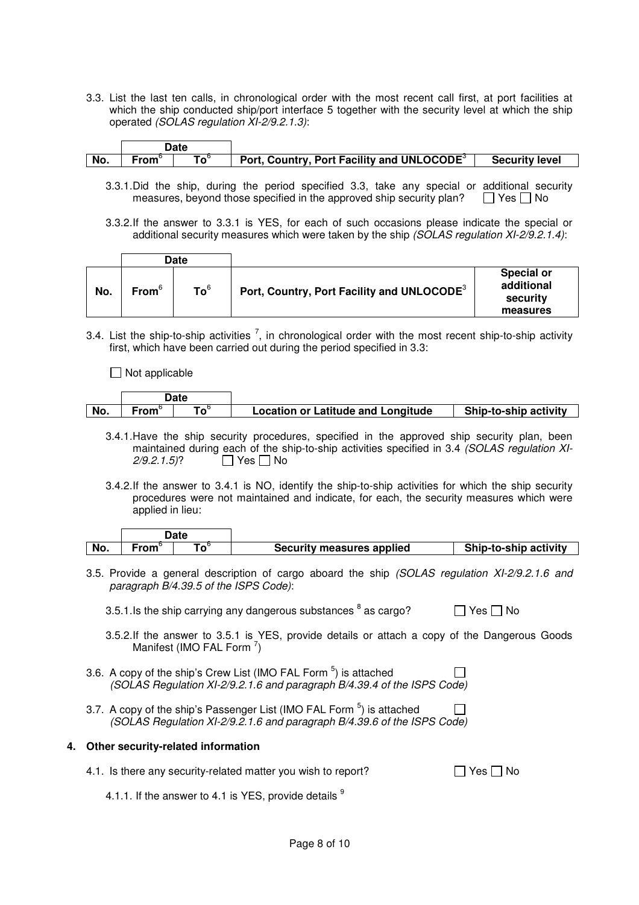3.3. List the last ten calls, in chronological order with the most recent call first, at port facilities at which the ship conducted ship/port interface 5 together with the security level at which the ship operated (SOLAS regulation XI-2/9.2.1.3):

| No. | From | $\mathbf{To}^{\mathsf{t}}$ | Port, Country, Port Facility and UNLOCODE <sup>3</sup> | <b>Security level</b> |
|-----|------|----------------------------|--------------------------------------------------------|-----------------------|

- 3.3.1. Did the ship, during the period specified 3.3, take any special or additional security measures, beyond those specified in the approved ship security plan?  $\Box$  Yes  $\Box$  No
- 3.3.2. If the answer to 3.3.1 is YES, for each of such occasions please indicate the special or additional security measures which were taken by the ship (SOLAS regulation XI-2/9.2.1.4):

|     | Date              |                 |                                                        |                                                         |
|-----|-------------------|-----------------|--------------------------------------------------------|---------------------------------------------------------|
| No. | From <sup>6</sup> | To <sup>6</sup> | Port, Country, Port Facility and UNLOCODE <sup>3</sup> | <b>Special or</b><br>additional<br>security<br>measures |

3.4. List the ship-to-ship activities  $^7$ , in chronological order with the most recent ship-to-ship activity first, which have been carried out during the period specified in 3.3:

 $\Box$  Not applicable

|     |      | Date |                                           |                       |
|-----|------|------|-------------------------------------------|-----------------------|
| No. | ∙rom |      | <b>Location or Latitude and Longitude</b> | Ship-to-ship activity |

- 3.4.1. Have the ship security procedures, specified in the approved ship security plan, been maintained during each of the ship-to-ship activities specified in 3.4 (SOLAS regulation XI- $2/9.2.1.5$ ?  $\Box$  Yes  $\Box$  No
- 3.4.2. If the answer to 3.4.1 is NO, identify the ship-to-ship activities for which the ship security procedures were not maintained and indicate, for each, the security measures which were applied in lieu:

| No. | $-$ MeV MeV $^{\prime\prime}$ | Security measures applied | Ship-to-ship activity |
|-----|-------------------------------|---------------------------|-----------------------|

- 3.5. Provide a general description of cargo aboard the ship (SOLAS regulation XI-2/9.2.1.6 and paragraph B/4.39.5 of the ISPS Code):
	- 3.5.1. Is the ship carrying any dangerous substances  $^8$  as cargo?  $\hfill$  Yes  $\Box$  No
	- 3.5.2. If the answer to 3.5.1 is YES, provide details or attach a copy of the Dangerous Goods Manifest (IMO FAL Form  $^7$ )
- 3.6. A copy of the ship's Crew List (IMO FAL Form  $5$ ) is attached (SOLAS Regulation XI-2/9.2.1.6 and paragraph B/4.39.4 of the ISPS Code)
- 3.7. A copy of the ship's Passenger List (IMO FAL Form  $5$ ) is attached  $\Box$ (SOLAS Regulation XI-2/9.2.1.6 and paragraph B/4.39.6 of the ISPS Code)

# **4. Other security-related information**

| 4.1. Is there any security-related matter you wish to report? | $\Box$ Yes $\Box$ No |
|---------------------------------------------------------------|----------------------|
|---------------------------------------------------------------|----------------------|

4.1.1. If the answer to 4.1 is YES, provide details  $9$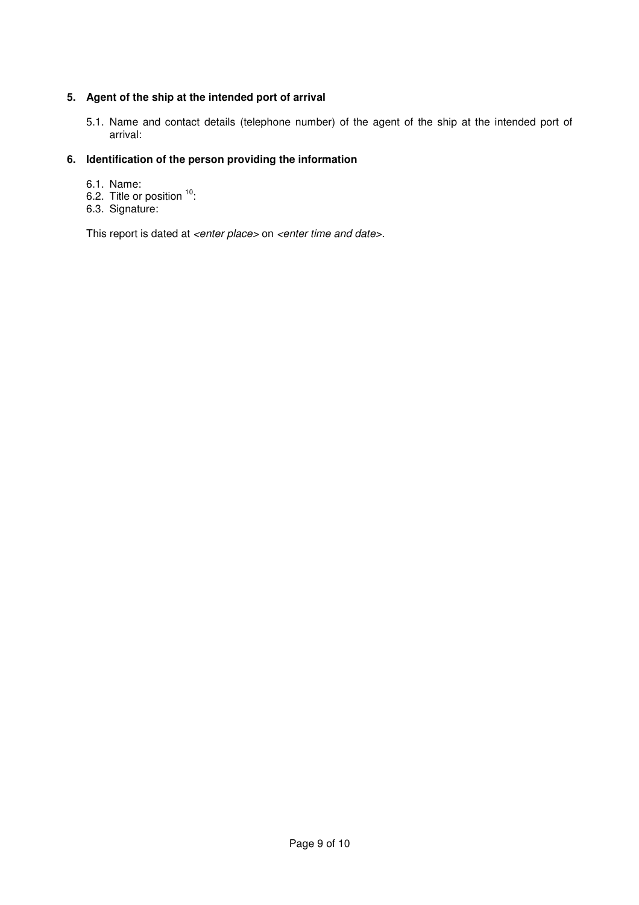# **5. Agent of the ship at the intended port of arrival**

5.1. Name and contact details (telephone number) of the agent of the ship at the intended port of arrival:

# **6. Identification of the person providing the information**

- 6.1. Name:
- 6.2. Title or position  $10$ :
- 6.3. Signature:

This report is dated at <enter place> on <enter time and date>.